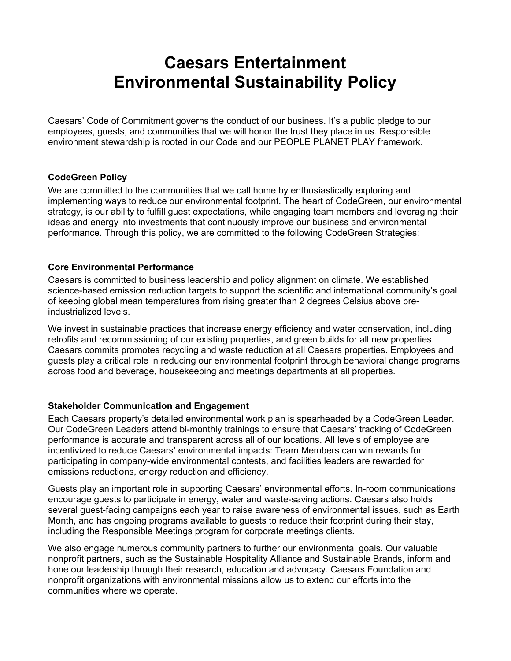# **Caesars Entertainment Environmental Sustainability Policy**

Caesars' Code of Commitment governs the conduct of our business. It's a public pledge to our employees, guests, and communities that we will honor the trust they place in us. Responsible environment stewardship is rooted in our Code and our PEOPLE PLANET PLAY framework.

### **CodeGreen Policy**

We are committed to the communities that we call home by enthusiastically exploring and implementing ways to reduce our environmental footprint. The heart of CodeGreen, our environmental strategy, is our ability to fulfill guest expectations, while engaging team members and leveraging their ideas and energy into investments that continuously improve our business and environmental performance. Through this policy, we are committed to the following CodeGreen Strategies:

### **Core Environmental Performance**

Caesars is committed to business leadership and policy alignment on climate. We established science-based emission reduction targets to support the scientific and international community's goal of keeping global mean temperatures from rising greater than 2 degrees Celsius above preindustrialized levels.

We invest in sustainable practices that increase energy efficiency and water conservation, including retrofits and recommissioning of our existing properties, and green builds for all new properties. Caesars commits promotes recycling and waste reduction at all Caesars properties. Employees and guests play a critical role in reducing our environmental footprint through behavioral change programs across food and beverage, housekeeping and meetings departments at all properties.

### **Stakeholder Communication and Engagement**

Each Caesars property's detailed environmental work plan is spearheaded by a CodeGreen Leader. Our CodeGreen Leaders attend bi-monthly trainings to ensure that Caesars' tracking of CodeGreen performance is accurate and transparent across all of our locations. All levels of employee are incentivized to reduce Caesars' environmental impacts: Team Members can win rewards for participating in company-wide environmental contests, and facilities leaders are rewarded for emissions reductions, energy reduction and efficiency.

Guests play an important role in supporting Caesars' environmental efforts. In-room communications encourage guests to participate in energy, water and waste-saving actions. Caesars also holds several guest-facing campaigns each year to raise awareness of environmental issues, such as Earth Month, and has ongoing programs available to guests to reduce their footprint during their stay, including the Responsible Meetings program for corporate meetings clients.

We also engage numerous community partners to further our environmental goals. Our valuable nonprofit partners, such as the Sustainable Hospitality Alliance and Sustainable Brands, inform and hone our leadership through their research, education and advocacy. Caesars Foundation and nonprofit organizations with environmental missions allow us to extend our efforts into the communities where we operate.